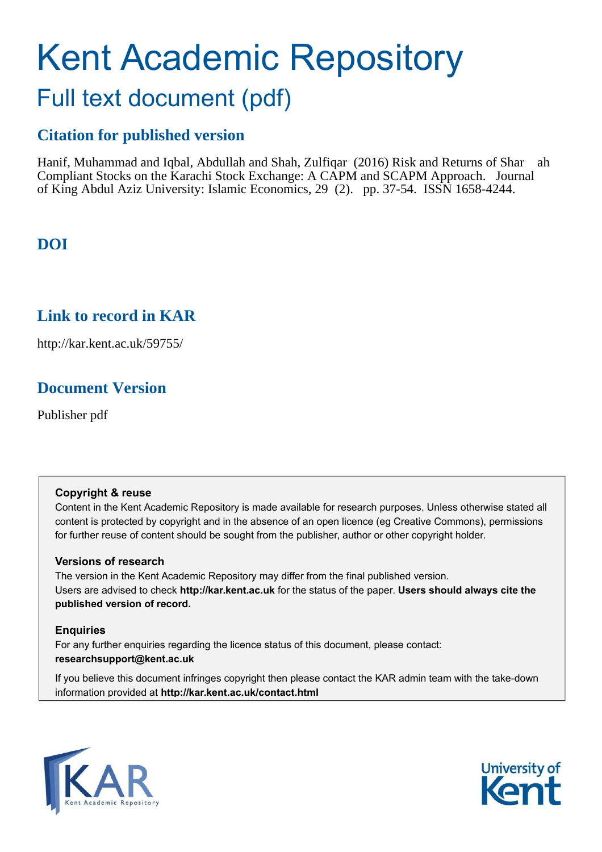# Kent Academic Repository Full text document (pdf)

# **Citation for published version**

Hanif, Muhammad and Iqbal, Abdullah and Shah, Zulfiqar (2016) Risk and Returns of Shar ah Compliant Stocks on the Karachi Stock Exchange: A CAPM and SCAPM Approach. Journal of King Abdul Aziz University: Islamic Economics, 29 (2). pp. 37-54. ISSN 1658-4244.

# **DOI**

# **Link to record in KAR**

http://kar.kent.ac.uk/59755/

# **Document Version**

Publisher pdf

## **Copyright & reuse**

Content in the Kent Academic Repository is made available for research purposes. Unless otherwise stated all content is protected by copyright and in the absence of an open licence (eg Creative Commons), permissions for further reuse of content should be sought from the publisher, author or other copyright holder.

## **Versions of research**

The version in the Kent Academic Repository may differ from the final published version. Users are advised to check **http://kar.kent.ac.uk** for the status of the paper. **Users should always cite the published version of record.**

## **Enquiries**

For any further enquiries regarding the licence status of this document, please contact: **researchsupport@kent.ac.uk**

If you believe this document infringes copyright then please contact the KAR admin team with the take-down information provided at **http://kar.kent.ac.uk/contact.html**



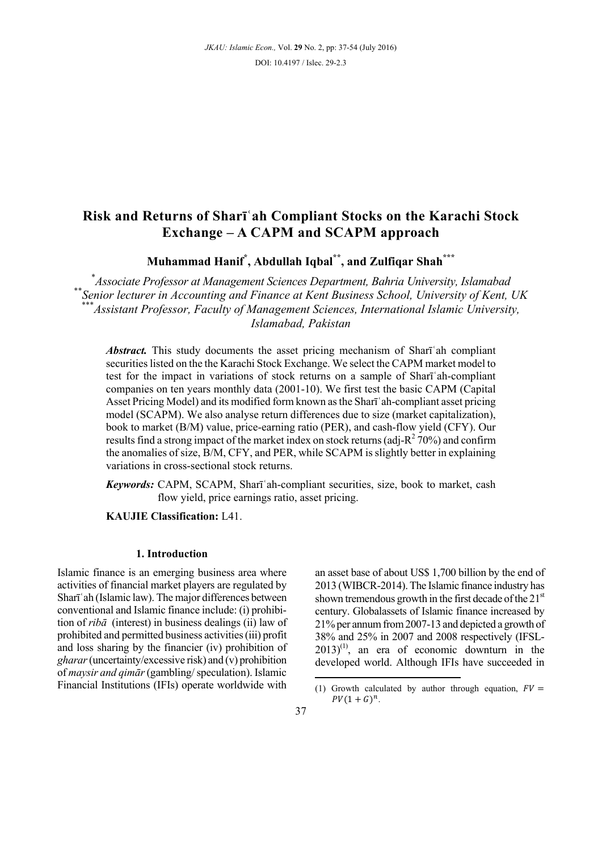## **Risk and Returns of Sharīʿah Compliant Stocks on the Karachi Stock Exchange – A CAPM and SCAPM approach**

**Muhammad Hanif\* , Abdullah Iqbal\*\*, and Zulfiqar Shah\*\*\***

\* *Associate Professor at Management Sciences Department, Bahria University, Islamabad*  \*\**Senior lecturer in Accounting and Finance at Kent Business School, University of Kent, UK*  \*<br>Assistant Professor, Faculty of Management Sciences, International Islamic University, *Islamabad, Pakistan* 

*Abstract.* This study documents the asset pricing mechanism of Shari ah compliant securities listed on the the Karachi Stock Exchange. We select the CAPM market model to test for the impact in variations of stock returns on a sample of Shari ah-compliant companies on ten years monthly data (2001-10). We first test the basic CAPM (Capital Asset Pricing Model) and its modified form known as the Shari ah-compliant asset pricing model (SCAPM). We also analyse return differences due to size (market capitalization), book to market (B/M) value, price-earning ratio (PER), and cash-flow yield (CFY). Our results find a strong impact of the market index on stock returns (adj- $R^2$  70%) and confirm the anomalies of size, B/M, CFY, and PER, while SCAPM is slightly better in explaining variations in cross-sectional stock returns.

*Keywords:* CAPM, SCAPM, Sharī ah-compliant securities, size, book to market, cash flow yield, price earnings ratio, asset pricing.

**KAUJIE Classification:** L41.

#### **1. Introduction**

Islamic finance is an emerging business area where activities of financial market players are regulated by Sharī'ah (Islamic law). The major differences between conventional and Islamic finance include: (i) prohibition of *ribダ* (interest) in business dealings (ii) law of prohibited and permitted business activities (iii) profit and loss sharing by the financier (iv) prohibition of *gharar* (uncertainty/excessive risk) and (v) prohibition of *maysir and qimār* (gambling/ speculation). Islamic Financial Institutions (IFIs) operate worldwide with an asset base of about US\$ 1,700 billion by the end of 2013 (WIBCR-2014). The Islamic finance industry has shown tremendous growth in the first decade of the  $21<sup>st</sup>$ century. Globalassets of Islamic finance increased by 21% per annum from 2007-13 and depicted a growth of 38% and 25% in 2007 and 2008 respectively (IFSL- $2013$ <sup>(1)</sup>, an era of economic downturn in the developed world. Although IFIs have succeeded in

<sup>(1)</sup> Growth calculated by author through equation,  $FV =$  $PV(1+G)^n$ .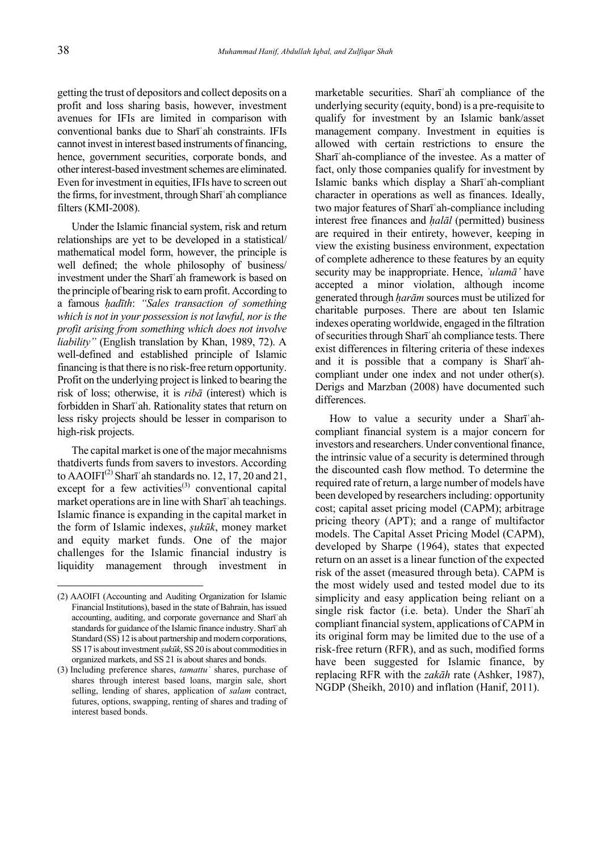getting the trust of depositors and collect deposits on a profit and loss sharing basis, however, investment avenues for IFIs are limited in comparison with conventional banks due to Sharī ah constraints. IFIs cannot invest in interest based instruments of financing, hence, government securities, corporate bonds, and other interest-based investment schemes are eliminated. Even for investment in equities, IFIs have to screen out the firms, for investment, through Sharī ah compliance filters (KMI-2008).

Under the Islamic financial system, risk and return relationships are yet to be developed in a statistical/ mathematical model form, however, the principle is well defined; the whole philosophy of business/ investment under the Sharī ah framework is based on the principle of bearing risk to earn profit. According to a famous *巾ad┆th*: *ìSales transaction of something which is not in your possession is not lawful, nor is the profit arising from something which does not involve liabilityî* (English translation by Khan, 1989, 72). A well-defined and established principle of Islamic financing is that there is no risk-free return opportunity. Profit on the underlying project is linked to bearing the risk of loss; otherwise, it is *riba* (interest) which is forbidden in Sharīʿah. Rationality states that return on less risky projects should be lesser in comparison to high-risk projects.

The capital market is one of the major mecahnisms thatdiverts funds from savers to investors. According to AAOIFI<sup>(2)</sup> Sharī'ah standards no. 12, 17, 20 and 21, except for a few activities<sup>(3)</sup> conventional capital market operations are in line with Sharī'ah teachings. Islamic finance is expanding in the capital market in the form of Islamic indexes, *şukūk*, money market and equity market funds. One of the major challenges for the Islamic financial industry is liquidity management through investment in

marketable securities. Sharī'ah compliance of the underlying security (equity, bond) is a pre-requisite to qualify for investment by an Islamic bank/asset management company. Investment in equities is allowed with certain restrictions to ensure the Shari ah-compliance of the investee. As a matter of fact, only those companies qualify for investment by Islamic banks which display a Sharī'ah-compliant character in operations as well as finances. Ideally, two major features of Sharī ah-compliance including interest free finances and *halal* (permitted) business are required in their entirety, however, keeping in view the existing business environment, expectation of complete adherence to these features by an equity security may be inappropriate. Hence, *'ulama'* have accepted a minor violation, although income generated through *haram* sources must be utilized for charitable purposes. There are about ten Islamic indexes operating worldwide, engaged in the filtration of securities through Sharī ah compliance tests. There exist differences in filtering criteria of these indexes and it is possible that a company is Shari $a$ hcompliant under one index and not under other(s). Derigs and Marzban (2008) have documented such differences.

How to value a security under a Shari ahcompliant financial system is a major concern for investors and researchers. Under conventional finance, the intrinsic value of a security is determined through the discounted cash flow method. To determine the required rate of return, a large number of models have been developed by researchers including: opportunity cost; capital asset pricing model (CAPM); arbitrage pricing theory (APT); and a range of multifactor models. The Capital Asset Pricing Model (CAPM), developed by Sharpe (1964), states that expected return on an asset is a linear function of the expected risk of the asset (measured through beta). CAPM is the most widely used and tested model due to its simplicity and easy application being reliant on a single risk factor (i.e. beta). Under the Sharī'ah compliant financial system, applications of CAPM in its original form may be limited due to the use of a risk-free return (RFR), and as such, modified forms have been suggested for Islamic finance, by replacing RFR with the *zakダh* rate (Ashker, 1987), NGDP (Sheikh, 2010) and inflation (Hanif, 2011).

<sup>(2)</sup> AAOIFI (Accounting and Auditing Organization for Islamic Financial Institutions), based in the state of Bahrain, has issued accounting, auditing, and corporate governance and Sharī ah standards for guidance of the Islamic finance industry. Sharī ah Standard (SS) 12 is about partnership and modern corporations, SS 17 is about investment *sukūk*, SS 20 is about commodities in organized markets, and SS 21 is about shares and bonds.

<sup>(3)</sup> Including preference shares, *tamattu茨* shares, purchase of shares through interest based loans, margin sale, short selling, lending of shares, application of *salam* contract, futures, options, swapping, renting of shares and trading of interest based bonds.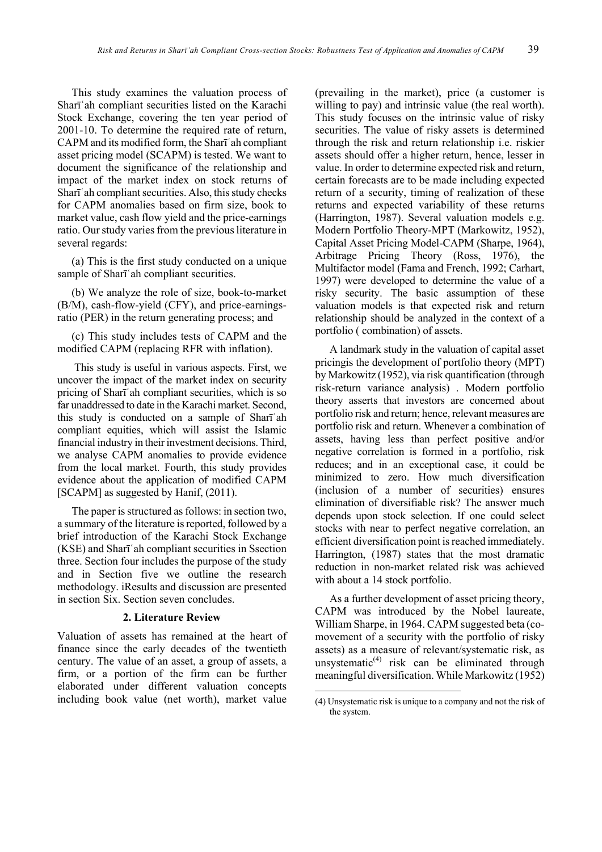This study examines the valuation process of Sharī'ah compliant securities listed on the Karachi Stock Exchange, covering the ten year period of 2001-10. To determine the required rate of return, CAPM and its modified form, the Sharī ah compliant asset pricing model (SCAPM) is tested. We want to document the significance of the relationship and impact of the market index on stock returns of Sharī 'ah compliant securities. Also, this study checks for CAPM anomalies based on firm size, book to market value, cash flow yield and the price-earnings ratio. Our study varies from the previous literature in several regards:

(a) This is the first study conducted on a unique sample of Sharī'ah compliant securities.

(b) We analyze the role of size, book-to-market (B/M), cash-flow-yield (CFY), and price-earningsratio (PER) in the return generating process; and

(c) This study includes tests of CAPM and the modified CAPM (replacing RFR with inflation).

 This study is useful in various aspects. First, we uncover the impact of the market index on security pricing of Sharī'ah compliant securities, which is so far unaddressed to date in the Karachi market. Second, this study is conducted on a sample of Sharī ah compliant equities, which will assist the Islamic financial industry in their investment decisions. Third, we analyse CAPM anomalies to provide evidence from the local market. Fourth, this study provides evidence about the application of modified CAPM [SCAPM] as suggested by Hanif, (2011).

The paper is structured as follows: in section two, a summary of the literature is reported, followed by a brief introduction of the Karachi Stock Exchange (KSE) and Sharī'ah compliant securities in Ssection three. Section four includes the purpose of the study and in Section five we outline the research methodology. iResults and discussion are presented in section Six. Section seven concludes.

#### **2. Literature Review**

Valuation of assets has remained at the heart of finance since the early decades of the twentieth century. The value of an asset, a group of assets, a firm, or a portion of the firm can be further elaborated under different valuation concepts including book value (net worth), market value

(prevailing in the market), price (a customer is willing to pay) and intrinsic value (the real worth). This study focuses on the intrinsic value of risky securities. The value of risky assets is determined through the risk and return relationship i.e. riskier assets should offer a higher return, hence, lesser in value. In order to determine expected risk and return, certain forecasts are to be made including expected return of a security, timing of realization of these returns and expected variability of these returns (Harrington, 1987). Several valuation models e.g. Modern Portfolio Theory-MPT (Markowitz, 1952), Capital Asset Pricing Model-CAPM (Sharpe, 1964), Arbitrage Pricing Theory (Ross, 1976), the Multifactor model (Fama and French, 1992; Carhart, 1997) were developed to determine the value of a risky security. The basic assumption of these valuation models is that expected risk and return relationship should be analyzed in the context of a portfolio ( combination) of assets.

A landmark study in the valuation of capital asset pricingis the development of portfolio theory (MPT) by Markowitz (1952), via risk quantification (through risk-return variance analysis) . Modern portfolio theory asserts that investors are concerned about portfolio risk and return; hence, relevant measures are portfolio risk and return. Whenever a combination of assets, having less than perfect positive and/or negative correlation is formed in a portfolio, risk reduces; and in an exceptional case, it could be minimized to zero. How much diversification (inclusion of a number of securities) ensures elimination of diversifiable risk? The answer much depends upon stock selection. If one could select stocks with near to perfect negative correlation, an efficient diversification point is reached immediately. Harrington, (1987) states that the most dramatic reduction in non-market related risk was achieved with about a 14 stock portfolio.

As a further development of asset pricing theory, CAPM was introduced by the Nobel laureate, William Sharpe, in 1964. CAPM suggested beta (comovement of a security with the portfolio of risky assets) as a measure of relevant/systematic risk, as unsystematic $^{(4)}$  risk can be eliminated through meaningful diversification. While Markowitz (1952)

<sup>(4)</sup> Unsystematic risk is unique to a company and not the risk of the system.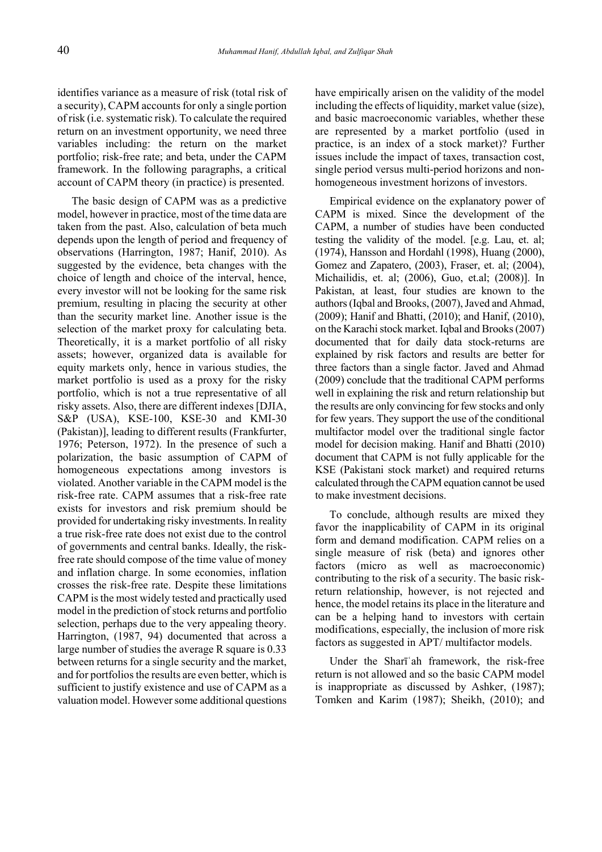identifies variance as a measure of risk (total risk of a security), CAPM accounts for only a single portion of risk (i.e. systematic risk). To calculate the required return on an investment opportunity, we need three variables including: the return on the market portfolio; risk-free rate; and beta, under the CAPM framework. In the following paragraphs, a critical account of CAPM theory (in practice) is presented.

The basic design of CAPM was as a predictive model, however in practice, most of the time data are taken from the past. Also, calculation of beta much depends upon the length of period and frequency of observations (Harrington, 1987; Hanif, 2010). As suggested by the evidence, beta changes with the choice of length and choice of the interval, hence, every investor will not be looking for the same risk premium, resulting in placing the security at other than the security market line. Another issue is the selection of the market proxy for calculating beta. Theoretically, it is a market portfolio of all risky assets; however, organized data is available for equity markets only, hence in various studies, the market portfolio is used as a proxy for the risky portfolio, which is not a true representative of all risky assets. Also, there are different indexes [DJIA, S&P (USA), KSE-100, KSE-30 and KMI-30 (Pakistan)], leading to different results (Frankfurter, 1976; Peterson, 1972). In the presence of such a polarization, the basic assumption of CAPM of homogeneous expectations among investors is violated. Another variable in the CAPM model is the risk-free rate. CAPM assumes that a risk-free rate exists for investors and risk premium should be provided for undertaking risky investments. In reality a true risk-free rate does not exist due to the control of governments and central banks. Ideally, the riskfree rate should compose of the time value of money and inflation charge. In some economies, inflation crosses the risk-free rate. Despite these limitations CAPM is the most widely tested and practically used model in the prediction of stock returns and portfolio selection, perhaps due to the very appealing theory. Harrington, (1987, 94) documented that across a large number of studies the average R square is 0.33 between returns for a single security and the market, and for portfolios the results are even better, which is sufficient to justify existence and use of CAPM as a valuation model. However some additional questions have empirically arisen on the validity of the model including the effects of liquidity, market value (size), and basic macroeconomic variables, whether these are represented by a market portfolio (used in practice, is an index of a stock market)? Further issues include the impact of taxes, transaction cost, single period versus multi-period horizons and nonhomogeneous investment horizons of investors.

Empirical evidence on the explanatory power of CAPM is mixed. Since the development of the CAPM, a number of studies have been conducted testing the validity of the model. [e.g. Lau, et. al; (1974), Hansson and Hordahl (1998), Huang (2000), Gomez and Zapatero, (2003), Fraser, et. al; (2004), Michailidis, et. al; (2006), Guo, et.al; (2008)]. In Pakistan, at least, four studies are known to the authors (Iqbal and Brooks, (2007), Javed and Ahmad, (2009); Hanif and Bhatti, (2010); and Hanif, (2010), on the Karachi stock market. Iqbal and Brooks (2007) documented that for daily data stock-returns are explained by risk factors and results are better for three factors than a single factor. Javed and Ahmad (2009) conclude that the traditional CAPM performs well in explaining the risk and return relationship but the results are only convincing for few stocks and only for few years. They support the use of the conditional multifactor model over the traditional single factor model for decision making. Hanif and Bhatti (2010) document that CAPM is not fully applicable for the KSE (Pakistani stock market) and required returns calculated through the CAPM equation cannot be used to make investment decisions.

To conclude, although results are mixed they favor the inapplicability of CAPM in its original form and demand modification. CAPM relies on a single measure of risk (beta) and ignores other factors (micro as well as macroeconomic) contributing to the risk of a security. The basic riskreturn relationship, however, is not rejected and hence, the model retains its place in the literature and can be a helping hand to investors with certain modifications, especially, the inclusion of more risk factors as suggested in APT/ multifactor models.

Under the Shari ah framework, the risk-free return is not allowed and so the basic CAPM model is inappropriate as discussed by Ashker, (1987); Tomken and Karim (1987); Sheikh, (2010); and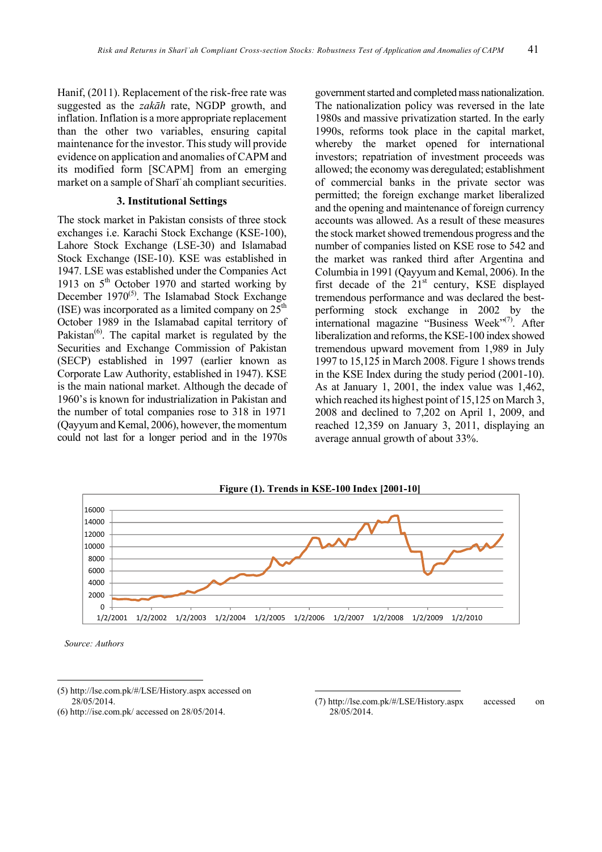Hanif, (2011). Replacement of the risk-free rate was suggested as the *zak* $\bar{a}h$  rate, NGDP growth, and inflation. Inflation is a more appropriate replacement than the other two variables, ensuring capital maintenance for the investor. This study will provide evidence on application and anomalies of CAPM and its modified form [SCAPM] from an emerging market on a sample of Sharī 'ah compliant securities.

#### **3. Institutional Settings**

The stock market in Pakistan consists of three stock exchanges i.e. Karachi Stock Exchange (KSE-100), Lahore Stock Exchange (LSE-30) and Islamabad Stock Exchange (ISE-10). KSE was established in 1947. LSE was established under the Companies Act 1913 on  $5<sup>th</sup>$  October 1970 and started working by December  $1970^{(5)}$ . The Islamabad Stock Exchange (ISE) was incorporated as a limited company on  $25<sup>th</sup>$ October 1989 in the Islamabad capital territory of Pakistan $^{(6)}$ . The capital market is regulated by the Securities and Exchange Commission of Pakistan (SECP) established in 1997 (earlier known as Corporate Law Authority, established in 1947). KSE is the main national market. Although the decade of 1960's is known for industrialization in Pakistan and the number of total companies rose to 318 in 1971 (Qayyum and Kemal, 2006), however, the momentum could not last for a longer period and in the 1970s government started and completed mass nationalization. The nationalization policy was reversed in the late 1980s and massive privatization started. In the early 1990s, reforms took place in the capital market, whereby the market opened for international investors; repatriation of investment proceeds was allowed; the economy was deregulated; establishment of commercial banks in the private sector was permitted; the foreign exchange market liberalized and the opening and maintenance of foreign currency accounts was allowed. As a result of these measures the stock market showed tremendous progress and the number of companies listed on KSE rose to 542 and the market was ranked third after Argentina and Columbia in 1991 (Qayyum and Kemal, 2006). In the first decade of the  $21<sup>st</sup>$  century, KSE displayed tremendous performance and was declared the bestperforming stock exchange in 2002 by the international magazine "Business Week" $(7)$ . After liberalization and reforms, the KSE-100 index showed tremendous upward movement from 1,989 in July 1997 to 15,125 in March 2008. Figure 1 shows trends in the KSE Index during the study period (2001-10). As at January 1, 2001, the index value was 1,462, which reached its highest point of 15,125 on March 3, 2008 and declined to 7,202 on April 1, 2009, and reached 12,359 on January 3, 2011, displaying an average annual growth of about 33%.



*Source: Authors*

(7) http://lse.com.pk/#/LSE/History.aspx accessed on 28/05/2014.

<sup>(5)</sup> http://lse.com.pk/#/LSE/History.aspx accessed on 28/05/2014.

<sup>(6)</sup> http://ise.com.pk/ accessed on 28/05/2014.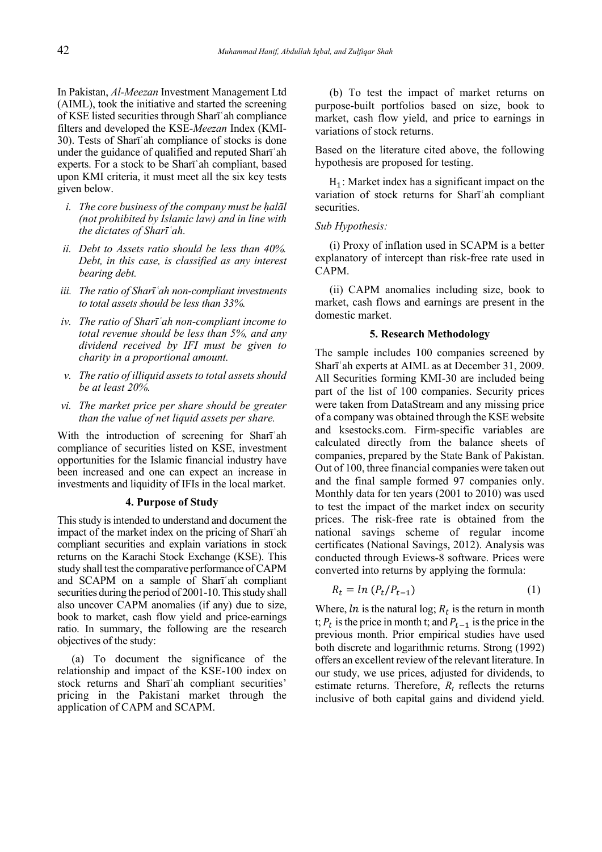In Pakistan, *Al-Meezan* Investment Management Ltd (AIML), took the initiative and started the screening of KSE listed securities through Sharī'ah compliance filters and developed the KSE-*Meezan* Index (KMI-30). Tests of Shart ah compliance of stocks is done under the guidance of qualified and reputed Shari<sup>'</sup>ah experts. For a stock to be Sharī'ah compliant, based upon KMI criteria, it must meet all the six key tests given below.

- *i.* The core business of the company must be halal *(not prohibited by Islamic law) and in line with the dictates of Shar<sup><i>i*</sup>ah.</sup>
- *ii. Debt to Assets ratio should be less than 40%. Debt, in this case, is classified as any interest bearing debt.*
- *iii.* The ratio of Shar**ī** `ah non-compliant investments *to total assets should be less than 33%.*
- *iv.* The ratio of Shar**ī** `ah non-compliant income to *total revenue should be less than 5%, and any dividend received by IFI must be given to charity in a proportional amount.*
- *v. The ratio of illiquid assets to total assets should be at least 20%.*
- *vi. The market price per share should be greater than the value of net liquid assets per share.*

With the introduction of screening for Shari<sup>'</sup>ah compliance of securities listed on KSE, investment opportunities for the Islamic financial industry have been increased and one can expect an increase in investments and liquidity of IFIs in the local market.

#### **4. Purpose of Study**

This study is intended to understand and document the impact of the market index on the pricing of Sharī ah compliant securities and explain variations in stock returns on the Karachi Stock Exchange (KSE). This study shall test the comparative performance of CAPM and SCAPM on a sample of Shari ah compliant securities during the period of 2001-10. This study shall also uncover CAPM anomalies (if any) due to size, book to market, cash flow yield and price-earnings ratio. In summary, the following are the research objectives of the study:

(a) To document the significance of the relationship and impact of the KSE-100 index on stock returns and Shari'ah compliant securities' pricing in the Pakistani market through the application of CAPM and SCAPM.

(b) To test the impact of market returns on purpose-built portfolios based on size, book to market, cash flow yield, and price to earnings in variations of stock returns.

Based on the literature cited above, the following hypothesis are proposed for testing.

 $H_1$ : Market index has a significant impact on the variation of stock returns for Sharī'ah compliant securities.

#### *Sub Hypothesis:*

(i) Proxy of inflation used in SCAPM is a better explanatory of intercept than risk-free rate used in CAPM.

(ii) CAPM anomalies including size, book to market, cash flows and earnings are present in the domestic market.

#### **5. Research Methodology**

The sample includes 100 companies screened by Shari'ah experts at AIML as at December 31, 2009. All Securities forming KMI-30 are included being part of the list of 100 companies. Security prices were taken from DataStream and any missing price of a company was obtained through the KSE website and ksestocks.com. Firm-specific variables are calculated directly from the balance sheets of companies, prepared by the State Bank of Pakistan. Out of 100, three financial companies were taken out and the final sample formed 97 companies only. Monthly data for ten years (2001 to 2010) was used to test the impact of the market index on security prices. The risk-free rate is obtained from the national savings scheme of regular income certificates (National Savings, 2012). Analysis was conducted through Eviews-8 software. Prices were converted into returns by applying the formula:

$$
R_t = \ln (P_t/P_{t-1}) \tag{1}
$$

Where,  $\ln$  is the natural log;  $R_t$  is the return in month t;  $P_t$  is the price in month t; and  $P_{t-1}$  is the price in the previous month. Prior empirical studies have used both discrete and logarithmic returns. Strong (1992) offers an excellent review of the relevant literature. In our study, we use prices, adjusted for dividends, to estimate returns. Therefore,  $R_t$  reflects the returns inclusive of both capital gains and dividend yield.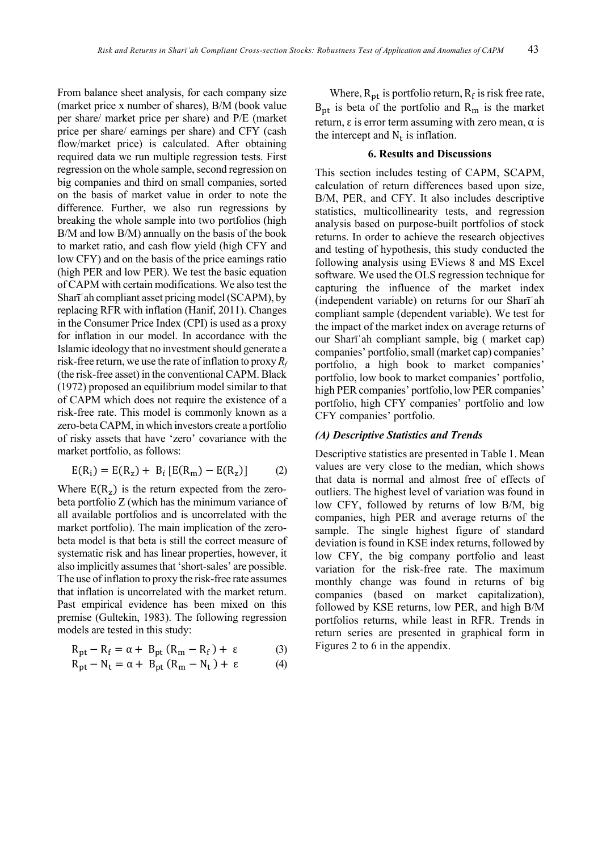From balance sheet analysis, for each company size (market price x number of shares), B/M (book value) per share/ market price per share) and P/E (market price per share/ earnings per share) and CFY (cash flow/market price) is calculated. After obtaining required data we run multiple regression tests. First regression on the whole sample, second regression on big companies and third on small companies, sorted on the basis of market value in order to note the difference. Further, we also run regressions by breaking the whole sample into two portfolios (high B/M and low B/M) annually on the basis of the book to market ratio, and cash flow yield (high CFY and low CFY) and on the basis of the price earnings ratio (high PER and low PER). We test the basic equation of CAPM with certain modifications. We also test the Shari'ah compliant asset pricing model (SCAPM), by replacing RFR with inflation (Hanif, 2011). Changes in the Consumer Price Index (CPI) is used as a proxy for inflation in our model. In accordance with the Islamic ideology that no investment should generate a risk-free return, we use the rate of inflation to proxy  $R_f$ (the risk-free asset) in the conventional CAPM. Black (1972) proposed an equilibrium model similar to that of CAPM which does not require the existence of a risk-free rate. This model is commonly known as a zero-beta CAPM, in which investors create a portfolio of risky assets that have 'zero' covariance with the market portfolio, as follows:

$$
E(R_i) = E(R_z) + B_i [E(R_m) - E(R_z)] \tag{2}
$$

Where  $E(R_z)$  is the return expected from the zerobeta portfolio Z (which has the minimum variance of all available portfolios and is uncorrelated with the market portfolio). The main implication of the zerobeta model is that beta is still the correct measure of systematic risk and has linear properties, however, it also implicitly assumes that 'short-sales' are possible. The use of inflation to proxy the risk-free rate assumes that inflation is uncorrelated with the market return. Past empirical evidence has been mixed on this premise (Gultekin, 1983). The following regression models are tested in this study:

$$
R_{pt} - R_f = \alpha + B_{pt} (R_m - R_f) + \varepsilon
$$
 (3)

$$
R_{pt} - N_t = \alpha + B_{pt} (R_m - N_t) + \varepsilon
$$
 (4)

Where,  $R_{pt}$  is portfolio return,  $R_f$  is risk free rate,  $B_{nt}$  is beta of the portfolio and  $R_m$  is the market return,  $\varepsilon$  is error term assuming with zero mean,  $\alpha$  is the intercept and  $N_t$  is inflation.

#### **6. Results and Discussions**

This section includes testing of CAPM, SCAPM. calculation of return differences based upon size, B/M, PER, and CFY. It also includes descriptive statistics, multicollinearity tests, and regression analysis based on purpose-built portfolios of stock returns. In order to achieve the research objectives and testing of hypothesis, this study conducted the following analysis using EViews 8 and MS Excel software. We used the OLS regression technique for capturing the influence of the market index (independent variable) on returns for our Shari ah compliant sample (dependent variable). We test for the impact of the market index on average returns of our Shart ah compliant sample, big (market cap) companies' portfolio, small (market cap) companies' portfolio, a high book to market companies' portfolio, low book to market companies' portfolio, high PER companies' portfolio, low PER companies' portfolio, high CFY companies' portfolio and low CFY companies' portfolio.

#### (A) Descriptive Statistics and Trends

Descriptive statistics are presented in Table 1. Mean values are very close to the median, which shows that data is normal and almost free of effects of outliers. The highest level of variation was found in low CFY, followed by returns of low B/M, big companies, high PER and average returns of the sample. The single highest figure of standard deviation is found in KSE index returns, followed by low CFY, the big company portfolio and least variation for the risk-free rate. The maximum monthly change was found in returns of big companies (based on market capitalization), followed by KSE returns, low PER, and high B/M portfolios returns, while least in RFR. Trends in return series are presented in graphical form in Figures 2 to 6 in the appendix.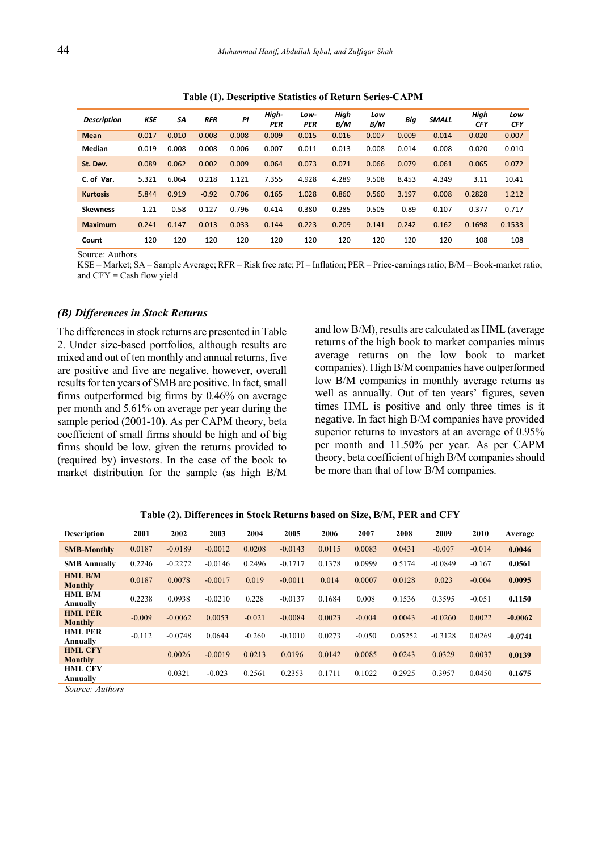| <b>Description</b> | KSE     | SΑ      | <b>RFR</b> | ΡI    | High-<br><b>PER</b> | Low-<br><b>PER</b> | High<br>B/M | Low<br>B/M | Big     | <b>SMALL</b> | High<br><b>CFY</b> | Low<br><b>CFY</b> |
|--------------------|---------|---------|------------|-------|---------------------|--------------------|-------------|------------|---------|--------------|--------------------|-------------------|
| <b>Mean</b>        | 0.017   | 0.010   | 0.008      | 0.008 | 0.009               | 0.015              | 0.016       | 0.007      | 0.009   | 0.014        | 0.020              | 0.007             |
| Median             | 0.019   | 0.008   | 0.008      | 0.006 | 0.007               | 0.011              | 0.013       | 0.008      | 0.014   | 0.008        | 0.020              | 0.010             |
| St. Dev.           | 0.089   | 0.062   | 0.002      | 0.009 | 0.064               | 0.073              | 0.071       | 0.066      | 0.079   | 0.061        | 0.065              | 0.072             |
| C. of Var.         | 5.321   | 6.064   | 0.218      | 1.121 | 7.355               | 4.928              | 4.289       | 9.508      | 8.453   | 4.349        | 3.11               | 10.41             |
| <b>Kurtosis</b>    | 5.844   | 0.919   | $-0.92$    | 0.706 | 0.165               | 1.028              | 0.860       | 0.560      | 3.197   | 0.008        | 0.2828             | 1.212             |
| <b>Skewness</b>    | $-1.21$ | $-0.58$ | 0.127      | 0.796 | $-0.414$            | $-0.380$           | $-0.285$    | $-0.505$   | $-0.89$ | 0.107        | $-0.377$           | $-0.717$          |
| <b>Maximum</b>     | 0.241   | 0.147   | 0.013      | 0.033 | 0.144               | 0.223              | 0.209       | 0.141      | 0.242   | 0.162        | 0.1698             | 0.1533            |
| Count              | 120     | 120     | 120        | 120   | 120                 | 120                | 120         | 120        | 120     | 120          | 108                | 108               |

**Table (1). Descriptive Statistics of Return Series-CAPM** 

Source: Authors

KSE = Market; SA = Sample Average; RFR = Risk free rate; PI = Inflation; PER = Price-earnings ratio; B/M = Book-market ratio; and  $CFY = Cash flow$  yield

#### *(B) Differences in Stock Returns*

The differences in stock returns are presented in Table 2. Under size-based portfolios, although results are mixed and out of ten monthly and annual returns, five are positive and five are negative, however, overall results for ten years of SMB are positive. In fact, small firms outperformed big firms by 0.46% on average per month and 5.61% on average per year during the sample period (2001-10). As per CAPM theory, beta coefficient of small firms should be high and of big firms should be low, given the returns provided to (required by) investors. In the case of the book to market distribution for the sample (as high B/M and low B/M), results are calculated as HML (average returns of the high book to market companies minus average returns on the low book to market companies). High B/M companies have outperformed low B/M companies in monthly average returns as well as annually. Out of ten years' figures, seven times HML is positive and only three times is it negative. In fact high B/M companies have provided superior returns to investors at an average of  $0.95\%$ per month and 11.50% per year. As per CAPM theory, beta coefficient of high B/M companies should be more than that of low B/M companies.

| <b>Description</b>               | 2001     | 2002      | 2003      | 2004     | 2005      | 2006   | 2007     | 2008    | 2009      | 2010     | Average   |
|----------------------------------|----------|-----------|-----------|----------|-----------|--------|----------|---------|-----------|----------|-----------|
| <b>SMB-Monthly</b>               | 0.0187   | $-0.0189$ | $-0.0012$ | 0.0208   | $-0.0143$ | 0.0115 | 0.0083   | 0.0431  | $-0.007$  | $-0.014$ | 0.0046    |
| <b>SMB Annually</b>              | 0.2246   | $-0.2272$ | $-0.0146$ | 0.2496   | $-0.1717$ | 0.1378 | 0.0999   | 0.5174  | $-0.0849$ | $-0.167$ | 0.0561    |
| <b>HML B/M</b><br><b>Monthly</b> | 0.0187   | 0.0078    | $-0.0017$ | 0.019    | $-0.0011$ | 0.014  | 0.0007   | 0.0128  | 0.023     | $-0.004$ | 0.0095    |
| <b>HML B/M</b><br>Annually       | 0.2238   | 0.0938    | $-0.0210$ | 0.228    | $-0.0137$ | 0.1684 | 0.008    | 0.1536  | 0.3595    | $-0.051$ | 0.1150    |
| <b>HML PER</b><br><b>Monthly</b> | $-0.009$ | $-0.0062$ | 0.0053    | $-0.021$ | $-0.0084$ | 0.0023 | $-0.004$ | 0.0043  | $-0.0260$ | 0.0022   | $-0.0062$ |
| <b>HML PER</b><br>Annually       | $-0.112$ | $-0.0748$ | 0.0644    | $-0.260$ | $-0.1010$ | 0.0273 | $-0.050$ | 0.05252 | $-0.3128$ | 0.0269   | $-0.0741$ |
| <b>HML CFY</b><br><b>Monthly</b> |          | 0.0026    | $-0.0019$ | 0.0213   | 0.0196    | 0.0142 | 0.0085   | 0.0243  | 0.0329    | 0.0037   | 0.0139    |
| <b>HML CFY</b><br>Annually       |          | 0.0321    | $-0.023$  | 0.2561   | 0.2353    | 0.1711 | 0.1022   | 0.2925  | 0.3957    | 0.0450   | 0.1675    |

**Table (2). Differences in Stock Returns based on Size, B/M, PER and CFY** 

*Source: Authors*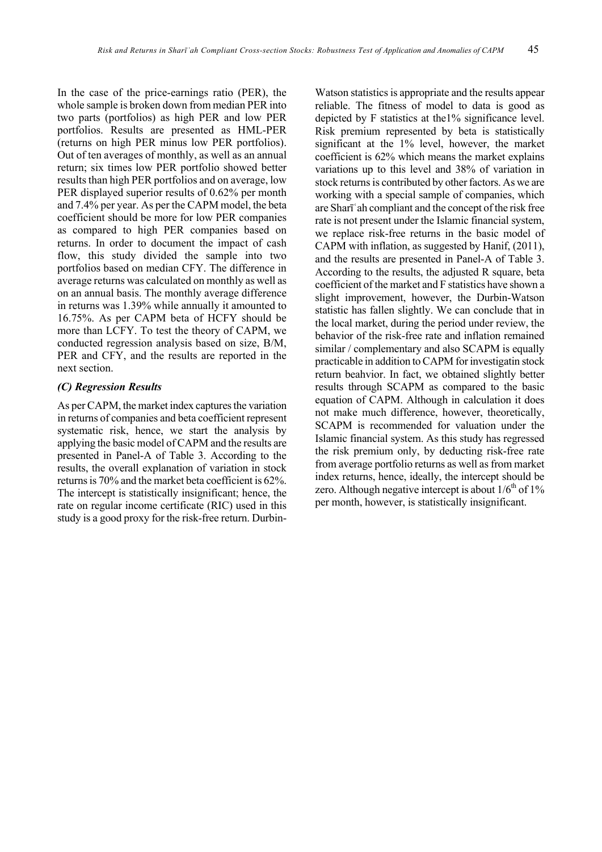In the case of the price-earnings ratio (PER), the whole sample is broken down from median PER into two parts (portfolios) as high PER and low PER portfolios. Results are presented as HML-PER (returns on high PER minus low PER portfolios). Out of ten averages of monthly, as well as an annual return; six times low PER portfolio showed better results than high PER portfolios and on average, low PER displayed superior results of 0.62% per month and 7.4% per year. As per the CAPM model, the beta coefficient should be more for low PER companies as compared to high PER companies based on returns. In order to document the impact of cash flow, this study divided the sample into two portfolios based on median CFY. The difference in average returns was calculated on monthly as well as on an annual basis. The monthly average difference in returns was 1.39% while annually it amounted to 16.75%. As per CAPM beta of HCFY should be more than LCFY. To test the theory of CAPM, we conducted regression analysis based on size, B/M, PER and CFY, and the results are reported in the next section.

#### *(C) Regression Results*

As per CAPM, the market index captures the variation in returns of companies and beta coefficient represent systematic risk, hence, we start the analysis by applying the basic model of CAPM and the results are presented in Panel-A of Table 3. According to the results, the overall explanation of variation in stock returns is 70% and the market beta coefficient is 62%. The intercept is statistically insignificant; hence, the rate on regular income certificate (RIC) used in this study is a good proxy for the risk-free return. DurbinWatson statistics is appropriate and the results appear reliable. The fitness of model to data is good as depicted by F statistics at the1% significance level. Risk premium represented by beta is statistically significant at the 1% level, however, the market coefficient is 62% which means the market explains variations up to this level and 38% of variation in stock returns is contributed by other factors. As we are working with a special sample of companies, which are Sharī 'ah compliant and the concept of the risk free rate is not present under the Islamic financial system, we replace risk-free returns in the basic model of CAPM with inflation, as suggested by Hanif, (2011), and the results are presented in Panel-A of Table 3. According to the results, the adjusted R square, beta coefficient of the market and F statistics have shown a slight improvement, however, the Durbin-Watson statistic has fallen slightly. We can conclude that in the local market, during the period under review, the behavior of the risk-free rate and inflation remained similar / complementary and also SCAPM is equally practicable in addition to CAPM for investigatin stock return beahvior. In fact, we obtained slightly better results through SCAPM as compared to the basic equation of CAPM. Although in calculation it does not make much difference, however, theoretically, SCAPM is recommended for valuation under the Islamic financial system. As this study has regressed the risk premium only, by deducting risk-free rate from average portfolio returns as well as from market index returns, hence, ideally, the intercept should be zero. Although negative intercept is about  $1/6<sup>th</sup>$  of  $1\%$ per month, however, is statistically insignificant.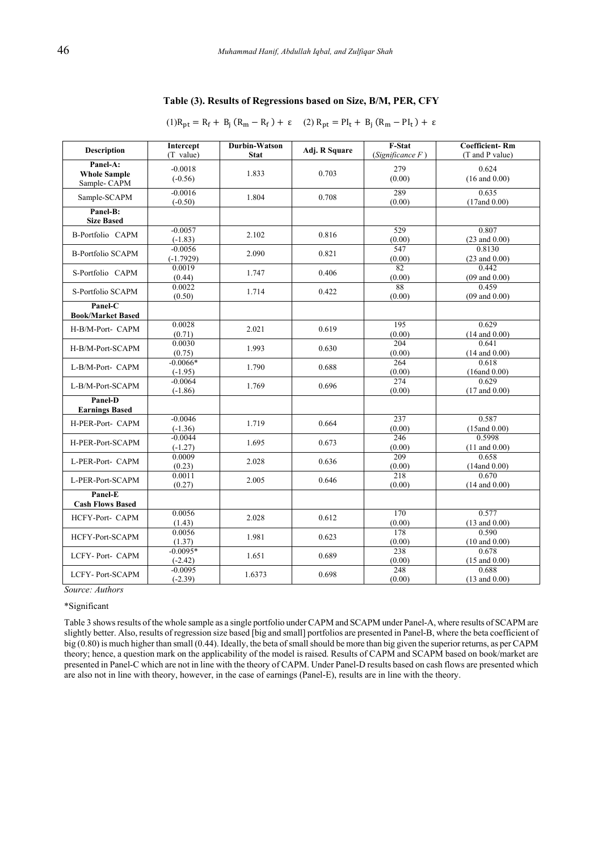| Table (3). Results of Regressions based on Size, B/M, PER, CFY |  |  |
|----------------------------------------------------------------|--|--|
|                                                                |  |  |

 $(1)R_{pt} = R_f + B_j (R_m - R_f) + \varepsilon$   $(2) R_{pt} = P I_t + B_j (R_m - P I_t) + \varepsilon$ 

| <b>Description</b>                             | Intercept<br>(T value)   | Durbin-Watson<br><b>Stat</b> | Adj. R Square | F-Stat<br>(Significance $F$ ) | <b>Coefficient-Rm</b><br>(T and P value) |
|------------------------------------------------|--------------------------|------------------------------|---------------|-------------------------------|------------------------------------------|
| Panel-A:<br><b>Whole Sample</b><br>Sample-CAPM | $-0.0018$<br>$(-0.56)$   | 1.833                        | 0.703         | 279<br>(0.00)                 | 0.624<br>$(16$ and $0.00)$               |
| Sample-SCAPM                                   | $-0.0016$<br>$(-0.50)$   | 1.804                        | 0.708         | 289<br>(0.00)                 | 0.635<br>$(17$ and $0.00)$               |
| Panel-B:<br><b>Size Based</b>                  |                          |                              |               |                               |                                          |
| <b>B-Portfolio CAPM</b>                        | $-0.0057$<br>$(-1.83)$   | 2.102                        | 0.816         | 529<br>(0.00)                 | 0.807<br>$(23$ and $0.00)$               |
| <b>B-Portfolio SCAPM</b>                       | $-0.0056$<br>$(-1.7929)$ | 2.090                        | 0.821         | 547<br>(0.00)                 | 0.8130<br>$(23$ and $0.00)$              |
| S-Portfolio CAPM                               | 0.0019<br>(0.44)         | 1.747                        | 0.406         | 82<br>(0.00)                  | 0.442<br>$(09$ and $0.00)$               |
| S-Portfolio SCAPM                              | 0.0022<br>(0.50)         | 1.714                        | 0.422         | 88<br>(0.00)                  | 0.459<br>$(09$ and $0.00)$               |
| Panel-C<br><b>Book/Market Based</b>            |                          |                              |               |                               |                                          |
| H-B/M-Port- CAPM                               | 0.0028<br>(0.71)         | 2.021                        | 0.619         | 195<br>(0.00)                 | 0.629<br>$(14$ and $0.00)$               |
| H-B/M-Port-SCAPM                               | 0.0030<br>(0.75)         | 1.993                        | 0.630         | 204<br>(0.00)                 | 0.641<br>$(14$ and $0.00)$               |
| L-B/M-Port- CAPM                               | $-0.0066*$<br>$(-1.95)$  | 1.790                        | 0.688         | 264<br>(0.00)                 | 0.618<br>(16and 0.00)                    |
| L-B/M-Port-SCAPM                               | $-0.0064$<br>$(-1.86)$   | 1.769                        | 0.696         | 274<br>(0.00)                 | 0.629<br>$(17$ and $0.00)$               |
| Panel-D<br><b>Earnings Based</b>               |                          |                              |               |                               |                                          |
| H-PER-Port- CAPM                               | $-0.0046$<br>$(-1.36)$   | 1.719                        | 0.664         | 237<br>(0.00)                 | 0.587<br>$(15$ and $0.00)$               |
| H-PER-Port-SCAPM                               | $-0.0044$<br>$(-1.27)$   | 1.695                        | 0.673         | 246<br>(0.00)                 | 0.5998<br>$(11$ and $0.00)$              |
| L-PER-Port- CAPM                               | 0.0009<br>(0.23)         | 2.028                        | 0.636         | 209<br>(0.00)                 | 0.658<br>$(14$ and $0.00)$               |
| L-PER-Port-SCAPM                               | 0.0011<br>(0.27)         | 2.005                        | 0.646         | 218<br>(0.00)                 | 0.670<br>$(14$ and $0.00)$               |
| Panel-E<br><b>Cash Flows Based</b>             |                          |                              |               |                               |                                          |
| HCFY-Port- CAPM                                | 0.0056<br>(1.43)         | 2.028                        | 0.612         | 170<br>(0.00)                 | 0.577<br>$(13$ and $0.00)$               |
| HCFY-Port-SCAPM                                | 0.0056<br>(1.37)         | 1.981                        | 0.623         | 178<br>(0.00)                 | 0.590<br>$(10 \text{ and } 0.00)$        |
| LCFY-Port-CAPM                                 | $-0.0095*$<br>$(-2.42)$  | 1.651                        | 0.689         | 238<br>(0.00)                 | 0.678<br>$(15$ and $0.00)$               |
| <b>LCFY-Port-SCAPM</b>                         | $-0.0095$<br>$(-2.39)$   | 1.6373                       | 0.698         | 248<br>(0.00)                 | 0.688<br>$(13$ and $0.00)$               |

*Source: Authors* 

\*Significant

Table 3 shows results of the whole sample as a single portfolio under CAPM and SCAPM under Panel-A, where results of SCAPM are slightly better. Also, results of regression size based [big and small] portfolios are presented in Panel-B, where the beta coefficient of big (0.80) is much higher than small (0.44). Ideally, the beta of small should be more than big given the superior returns, as per CAPM theory; hence, a question mark on the applicability of the model is raised. Results of CAPM and SCAPM based on book/market are presented in Panel-C which are not in line with the theory of CAPM. Under Panel-D results based on cash flows are presented which are also not in line with theory, however, in the case of earnings (Panel-E), results are in line with the theory.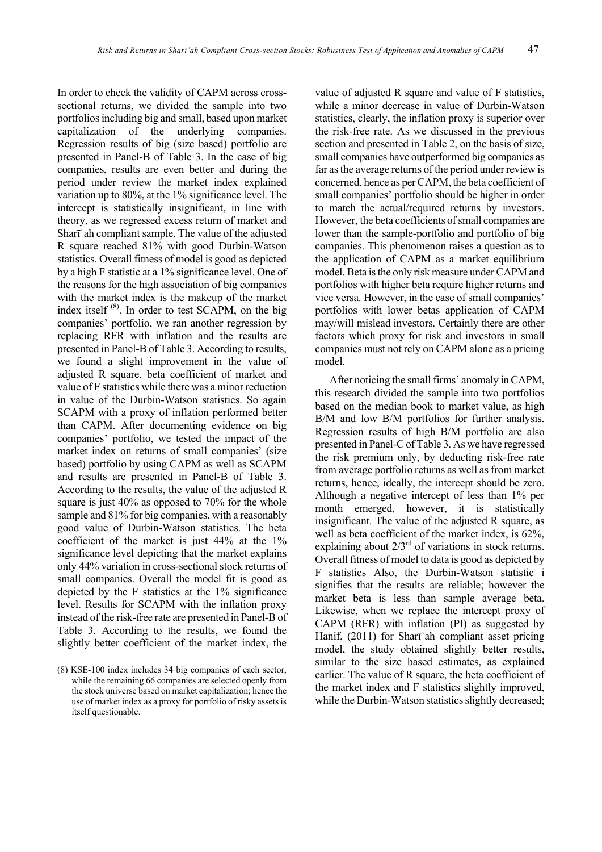In order to check the validity of CAPM across crosssectional returns, we divided the sample into two portfolios including big and small, based upon market capitalization of the underlying companies. Regression results of big (size based) portfolio are presented in Panel-B of Table 3. In the case of big companies, results are even better and during the period under review the market index explained variation up to 80%, at the 1% significance level. The intercept is statistically insignificant, in line with theory, as we regressed excess return of market and Sharī'ah compliant sample. The value of the adjusted R square reached 81% with good Durbin-Watson statistics. Overall fitness of model is good as depicted by a high F statistic at a 1% significance level. One of the reasons for the high association of big companies with the market index is the makeup of the market index itself (8). In order to test SCAPM, on the big companies' portfolio, we ran another regression by replacing RFR with inflation and the results are presented in Panel-B of Table 3. According to results, we found a slight improvement in the value of adjusted R square, beta coefficient of market and value of F statistics while there was a minor reduction in value of the Durbin-Watson statistics. So again SCAPM with a proxy of inflation performed better than CAPM. After documenting evidence on big companies' portfolio, we tested the impact of the market index on returns of small companies' (size based) portfolio by using CAPM as well as SCAPM and results are presented in Panel-B of Table 3. According to the results, the value of the adjusted R square is just 40% as opposed to 70% for the whole sample and 81% for big companies, with a reasonably good value of Durbin-Watson statistics. The beta coefficient of the market is just 44% at the 1% significance level depicting that the market explains only 44% variation in cross-sectional stock returns of small companies. Overall the model fit is good as depicted by the F statistics at the 1% significance level. Results for SCAPM with the inflation proxy instead of the risk-free rate are presented in Panel-B of Table 3. According to the results, we found the slightly better coefficient of the market index, the

value of adjusted R square and value of F statistics, while a minor decrease in value of Durbin-Watson statistics, clearly, the inflation proxy is superior over the risk-free rate. As we discussed in the previous section and presented in Table 2, on the basis of size, small companies have outperformed big companies as far as the average returns of the period under review is concerned, hence as per CAPM, the beta coefficient of small companies' portfolio should be higher in order to match the actual/required returns by investors. However, the beta coefficients of small companies are lower than the sample-portfolio and portfolio of big companies. This phenomenon raises a question as to the application of CAPM as a market equilibrium model. Beta is the only risk measure under CAPM and portfolios with higher beta require higher returns and vice versa. However, in the case of small companies' portfolios with lower betas application of CAPM may/will mislead investors. Certainly there are other factors which proxy for risk and investors in small companies must not rely on CAPM alone as a pricing model.

After noticing the small firms' anomaly in CAPM, this research divided the sample into two portfolios based on the median book to market value, as high B/M and low B/M portfolios for further analysis. Regression results of high B/M portfolio are also presented in Panel-C of Table 3. As we have regressed the risk premium only, by deducting risk-free rate from average portfolio returns as well as from market returns, hence, ideally, the intercept should be zero. Although a negative intercept of less than 1% per month emerged, however, it is statistically insignificant. The value of the adjusted R square, as well as beta coefficient of the market index, is 62%, explaining about  $2/3<sup>rd</sup>$  of variations in stock returns. Overall fitness of model to data is good as depicted by F statistics Also, the Durbin-Watson statistic i signifies that the results are reliable; however the market beta is less than sample average beta. Likewise, when we replace the intercept proxy of CAPM (RFR) with inflation (PI) as suggested by Hanif,  $(2011)$  for Shari'ah compliant asset pricing model, the study obtained slightly better results, similar to the size based estimates, as explained earlier. The value of R square, the beta coefficient of the market index and F statistics slightly improved, while the Durbin-Watson statistics slightly decreased;

<sup>(8)</sup> KSE-100 index includes 34 big companies of each sector, while the remaining 66 companies are selected openly from the stock universe based on market capitalization; hence the use of market index as a proxy for portfolio of risky assets is itself questionable.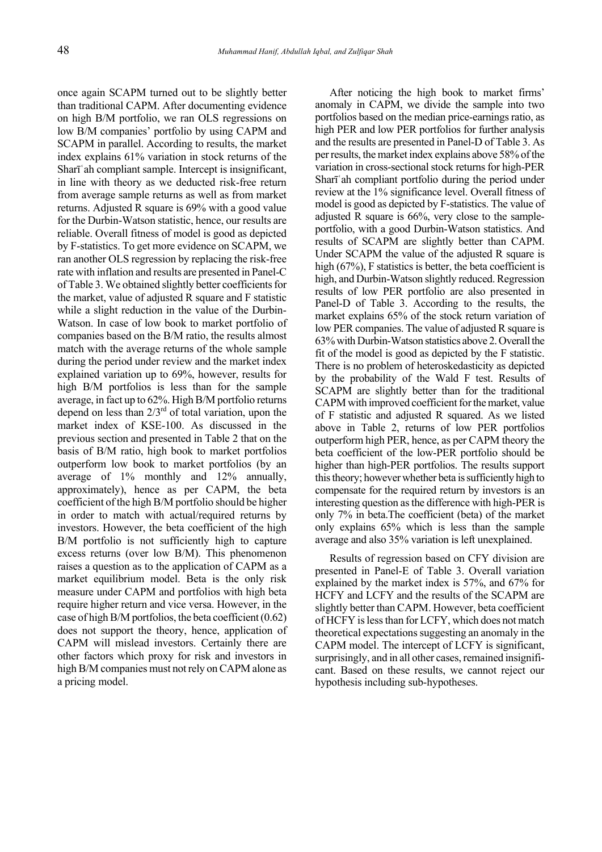once again SCAPM turned out to be slightly better than traditional CAPM. After documenting evidence on high B/M portfolio, we ran OLS regressions on low B/M companies' portfolio by using CAPM and SCAPM in parallel. According to results, the market index explains 61% variation in stock returns of the Sharī ah compliant sample. Intercept is insignificant, in line with theory as we deducted risk-free return from average sample returns as well as from market returns. Adjusted R square is 69% with a good value for the Durbin-Watson statistic, hence, our results are reliable. Overall fitness of model is good as depicted by F-statistics. To get more evidence on SCAPM, we ran another OLS regression by replacing the risk-free rate with inflation and results are presented in Panel-C of Table 3. We obtained slightly better coefficients for the market, value of adjusted R square and F statistic while a slight reduction in the value of the Durbin-Watson. In case of low book to market portfolio of companies based on the B/M ratio, the results almost match with the average returns of the whole sample during the period under review and the market index explained variation up to 69%, however, results for high B/M portfolios is less than for the sample average, in fact up to 62%. High B/M portfolio returns depend on less than  $2/3^{rd}$  of total variation, upon the market index of KSE-100. As discussed in the previous section and presented in Table 2 that on the basis of B/M ratio, high book to market portfolios outperform low book to market portfolios (by an average of 1% monthly and 12% annually, approximately), hence as per CAPM, the beta coefficient of the high B/M portfolio should be higher in order to match with actual/required returns by investors. However, the beta coefficient of the high B/M portfolio is not sufficiently high to capture excess returns (over low B/M). This phenomenon raises a question as to the application of CAPM as a market equilibrium model. Beta is the only risk measure under CAPM and portfolios with high beta require higher return and vice versa. However, in the case of high B/M portfolios, the beta coefficient (0.62) does not support the theory, hence, application of CAPM will mislead investors. Certainly there are other factors which proxy for risk and investors in high B/M companies must not rely on CAPM alone as a pricing model.

After noticing the high book to market firms' anomaly in CAPM, we divide the sample into two portfolios based on the median price-earnings ratio, as high PER and low PER portfolios for further analysis and the results are presented in Panel-D of Table 3. As per results, the market index explains above 58% of the variation in cross-sectional stock returns for high-PER Sharī ah compliant portfolio during the period under review at the 1% significance level. Overall fitness of model is good as depicted by F-statistics. The value of adjusted R square is 66%, very close to the sampleportfolio, with a good Durbin-Watson statistics. And results of SCAPM are slightly better than CAPM. Under SCAPM the value of the adjusted R square is high (67%), F statistics is better, the beta coefficient is high, and Durbin-Watson slightly reduced. Regression results of low PER portfolio are also presented in Panel-D of Table 3. According to the results, the market explains 65% of the stock return variation of low PER companies. The value of adjusted R square is 63% with Durbin-Watson statistics above 2. Overall the fit of the model is good as depicted by the F statistic. There is no problem of heteroskedasticity as depicted by the probability of the Wald F test. Results of SCAPM are slightly better than for the traditional CAPM with improved coefficient for the market, value of F statistic and adjusted R squared. As we listed above in Table 2, returns of low PER portfolios outperform high PER, hence, as per CAPM theory the beta coefficient of the low-PER portfolio should be higher than high-PER portfolios. The results support this theory; however whether beta is sufficiently high to compensate for the required return by investors is an interesting question as the difference with high-PER is only 7% in beta.The coefficient (beta) of the market only explains 65% which is less than the sample average and also 35% variation is left unexplained.

Results of regression based on CFY division are presented in Panel-E of Table 3. Overall variation explained by the market index is 57%, and 67% for HCFY and LCFY and the results of the SCAPM are slightly better than CAPM. However, beta coefficient of HCFY is less than for LCFY, which does not match theoretical expectations suggesting an anomaly in the CAPM model. The intercept of LCFY is significant, surprisingly, and in all other cases, remained insignificant. Based on these results, we cannot reject our hypothesis including sub-hypotheses.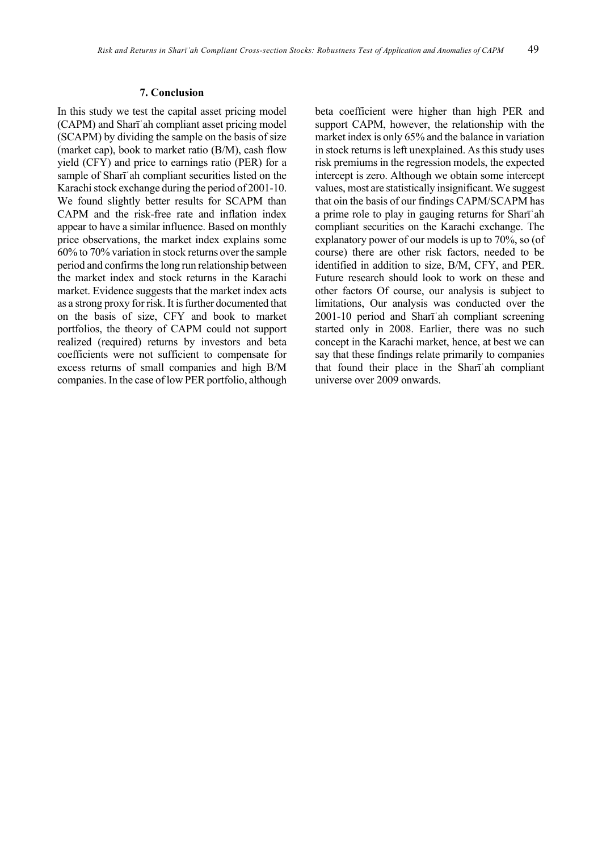#### **7. Conclusion**

In this study we test the capital asset pricing model (CAPM) and Shart and compliant asset pricing model (SCAPM) by dividing the sample on the basis of size (market cap), book to market ratio (B/M), cash flow yield (CFY) and price to earnings ratio (PER) for a sample of Shari ah compliant securities listed on the Karachi stock exchange during the period of 2001-10. We found slightly better results for SCAPM than CAPM and the risk-free rate and inflation index appear to have a similar influence. Based on monthly price observations, the market index explains some 60% to 70% variation in stock returns over the sample period and confirms the long run relationship between the market index and stock returns in the Karachi market. Evidence suggests that the market index acts as a strong proxy for risk. It is further documented that on the basis of size, CFY and book to market portfolios, the theory of CAPM could not support realized (required) returns by investors and beta coefficients were not sufficient to compensate for excess returns of small companies and high B/M companies. In the case of low PER portfolio, although beta coefficient were higher than high PER and support CAPM, however, the relationship with the market index is only 65% and the balance in variation in stock returns is left unexplained. As this study uses risk premiums in the regression models, the expected intercept is zero. Although we obtain some intercept values, most are statistically insignificant. We suggest that oin the basis of our findings CAPM/SCAPM has a prime role to play in gauging returns for Sharī'ah compliant securities on the Karachi exchange. The explanatory power of our models is up to 70%, so (of course) there are other risk factors, needed to be identified in addition to size, B/M, CFY, and PER. Future research should look to work on these and other factors Of course, our analysis is subject to limitations, Our analysis was conducted over the  $2001-10$  period and Sharī'ah compliant screening started only in 2008. Earlier, there was no such concept in the Karachi market, hence, at best we can say that these findings relate primarily to companies that found their place in the Sharī'ah compliant universe over 2009 onwards.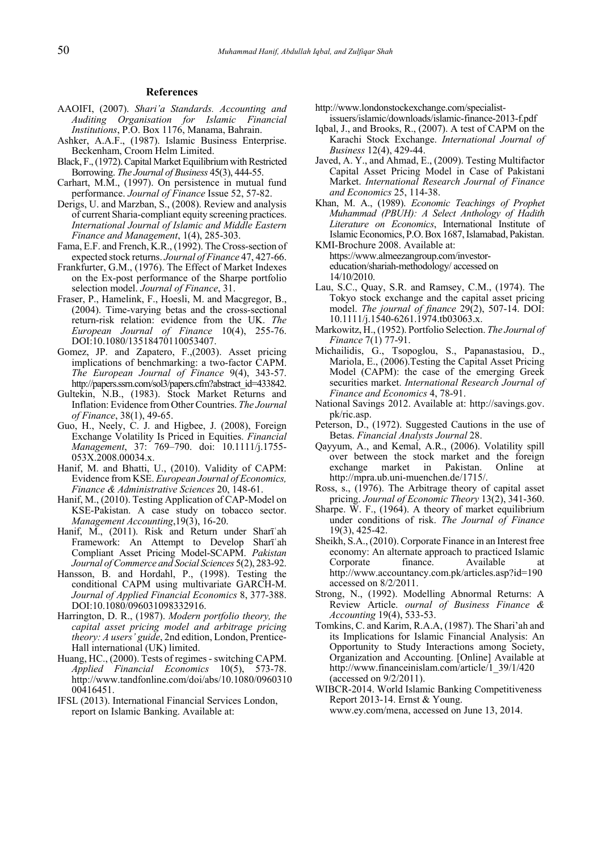#### **References**

- AAOIFI, (2007). *Shariía Standards. Accounting and Auditing Organisation for Islamic Financial Institutions*, P.O. Box 1176, Manama, Bahrain.
- Ashker, A.A.F., (1987). Islamic Business Enterprise. Beckenham, Croom Helm Limited.
- Black, F., (1972). Capital Market Equilibrium with Restricted Borrowing. *The Journal of Business* 45(3), 444-55.
- Carhart, M.M., (1997). On persistence in mutual fund performance. *Journal of Finance* Issue 52, 57-82.
- Derigs, U. and Marzban, S., (2008). Review and analysis of current Sharia-compliant equity screening practices. *International Journal of Islamic and Middle Eastern Finance and Management*, 1(4), 285-303.
- Fama, E.F. and French, K.R., (1992). The Cross-section of expected stock returns. *Journal of Finance* 47, 427-66.
- Frankfurter, G.M., (1976). The Effect of Market Indexes on the Ex-post performance of the Sharpe portfolio selection model. *Journal of Finance*, 31.
- Fraser, P., Hamelink, F., Hoesli, M. and Macgregor, B., (2004). Time-varying betas and the cross-sectional return-risk relation: evidence from the UK. *The European Journal of Finance* 10(4), 255-76. DOI:10.1080/13518470110053407.
- Gomez, JP. and Zapatero, F.,(2003). Asset pricing implications of benchmarking: a two-factor CAPM. *The European Journal of Finance* 9(4), 343-57. http://papers.ssrn.com/sol3/papers.cfm?abstract\_id=433842.
- Gultekin, N.B., (1983). Stock Market Returns and Inflation: Evidence from Other Countries. *The Journal of Finance*, 38(1), 49-65.
- Guo, H., Neely, C. J. and Higbee, J. (2008), Foreign Exchange Volatility Is Priced in Equities. *Financial Management*, 37: 769–790. doi: 10.1111/j.1755- 053X.2008.00034.x.
- Hanif, M. and Bhatti, U., (2010). Validity of CAPM: Evidence from KSE. *European Journal of Economics, Finance & Administrative Sciences* 20, 148-61.
- Hanif, M., (2010). Testing Application of CAP-Model on KSE-Pakistan. A case study on tobacco sector. *Management Accounting*,19(3), 16-20.
- Hanif, M., (2011). Risk and Return under Sharī'ah Framework: An Attempt to Develop Sharī'ah Compliant Asset Pricing Model-SCAPM. *Pakistan Journal of Commerce and Social Sciences* 5(2), 283-92.
- Hansson, B. and Hordahl, P., (1998). Testing the conditional CAPM using multivariate GARCH-M. *Journal of Applied Financial Economics* 8, 377-388. DOI:10.1080/096031098332916.
- Harrington, D. R., (1987). *Modern portfolio theory, the capital asset pricing model and arbitrage pricing theory: A users' guide*, 2nd edition, London, Prentice-Hall international (UK) limited.
- Huang, HC., (2000). Tests of regimes switching CAPM. *Applied Financial Economics* 10(5), 573-78. http://www.tandfonline.com/doi/abs/10.1080/0960310 00416451.
- IFSL (2013). International Financial Services London, report on Islamic Banking. Available at:
- http://www.londonstockexchange.com/specialistissuers/islamic/downloads/islamic-finance-2013-f.pdf
- Iqbal, J., and Brooks, R., (2007). A test of CAPM on the Karachi Stock Exchange. *International Journal of Business* 12(4), 429-44.
- Javed, A. Y., and Ahmad, E., (2009). Testing Multifactor Capital Asset Pricing Model in Case of Pakistani Market. *International Research Journal of Finance and Economics* 25, 114-38.
- Khan, M. A., (1989). *Economic Teachings of Prophet Muhammad (PBUH): A Select Anthology of Hadith Literature on Economics*, International Institute of Islamic Economics, P.O. Box 1687, Islamabad, Pakistan.

KMI-Brochure 2008. Available at: https://www.almeezangroup.com/investoreducation/shariah-methodology/ accessed on 14/10/2010.

- Lau, S.C., Quay, S.R. and Ramsey, C.M., (1974). The Tokyo stock exchange and the capital asset pricing model. *The journal of finance* 29(2), 507-14. DOI: 10.1111/j.1540-6261.1974.tb03063.x.
- Markowitz, H., (1952). Portfolio Selection. *The Journal of Finance* 7(1) 77-91.
- Michailidis, G., Tsopoglou, S., Papanastasiou, D., Mariola, E., (2006).Testing the Capital Asset Pricing Model (CAPM): the case of the emerging Greek securities market. *International Research Journal of Finance and Economics* 4, 78-91.
- National Savings 2012. Available at: http://savings.gov. pk/ric.asp.
- Peterson, D., (1972). Suggested Cautions in the use of Betas. *Financial Analysts Journal* 28.
- Qayyum, A., and Kemal, A.R., (2006). Volatility spill over between the stock market and the foreign exchange market in Pakistan. Online at http://mpra.ub.uni-muenchen.de/1715/.
- Ross, s., (1976). The Arbitrage theory of capital asset pricing. *Journal of Economic Theory* 13(2), 341-360.
- Sharpe. W. F., (1964). A theory of market equilibrium under conditions of risk. *The Journal of Finance* 19(3), 425-42.
- Sheikh, S.A., (2010). Corporate Finance in an Interest free economy: An alternate approach to practiced Islamic Corporate finance. Available at http://www.accountancy.com.pk/articles.asp?id=190 accessed on 8/2/2011.
- Strong, N., (1992). Modelling Abnormal Returns: A Review Article. *ournal of Business Finance & Accounting* 19(4), 533-53.
- Tomkins, C. and Karim, R.A.A, (1987). The Shari'ah and its Implications for Islamic Financial Analysis: An Opportunity to Study Interactions among Society, Organization and Accounting. [Online] Available at http://www.financeinislam.com/article/1\_39/1/420 (accessed on 9/2/2011).
- WIBCR-2014. World Islamic Banking Competitiveness Report 2013-14. Ernst & Young. www.ey.com/mena, accessed on June 13, 2014.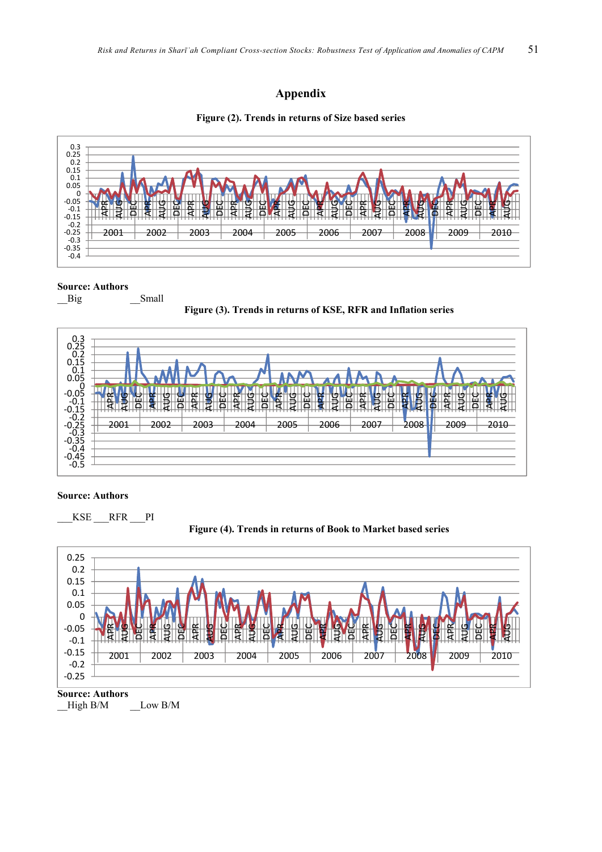## **Appendix**





#### **Source: Authors**

\_\_Big \_\_\_\_\_\_\_\_\_\_Small





#### **Source: Authors**

```
___KSE ___RFR ___PI
```




**Source: Authors** High B/M Low B/M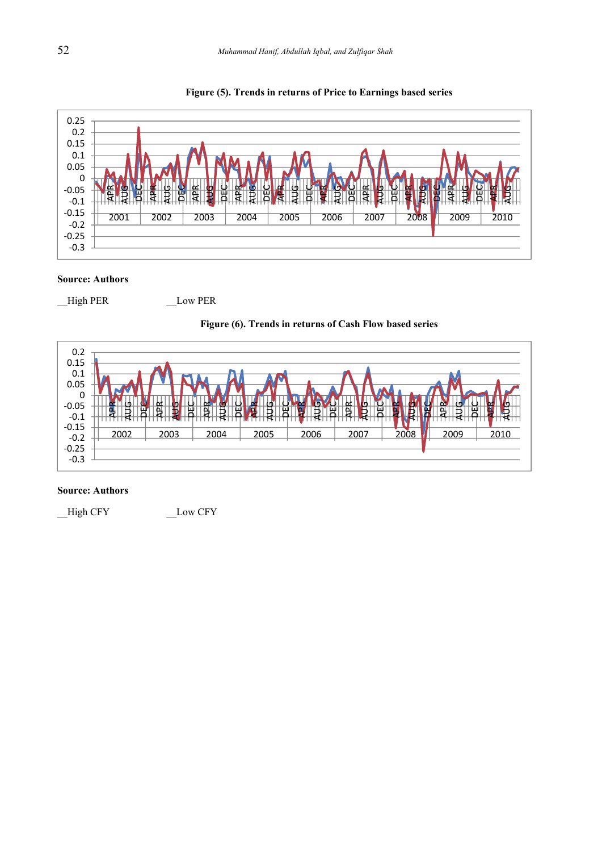

#### Figure (5). Trends in returns of Price to Earnings based series

#### **Source: Authors**

\_High PER

\_Low PER

#### Figure (6). Trends in returns of Cash Flow based series



#### **Source: Authors**

\_High CFY \_Low CFY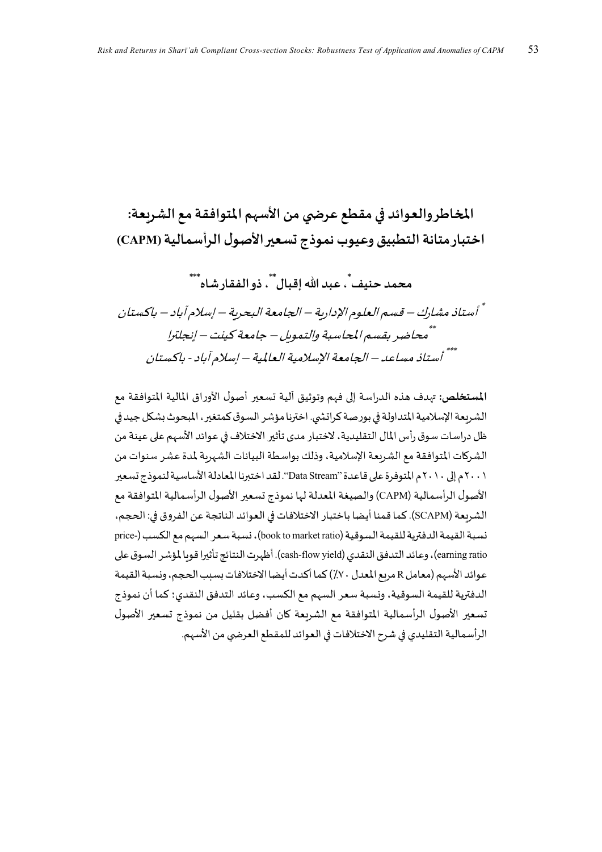المخاطر والعوائد في مقطع عرضي من الأسهم المتوافقة مع الشريعة: اختبار متانة التطبيق وعيوب نموذج تسعير الأصول الرأسمالية (CAPM)

محمد حنيف ٌ، عبد الله اقبال ٌ ٌ، ذو الفقار شاه ٌ ٌ

أُ أستاذ مشارك – قسم العلوم الإدارية – الجامعة البحرية – إسلام آباد – باكستان أأمحاضر بقسم المحاسبة والتموس – جامعة كينت – إنجلترا \*\*\* أستاذ مساعد – الجامعة الإسلامية العالمية – إسلام آباد - باكستان

المستخلص: تهدف هذه الدراسة إلى فهم وتوثيق آلية تسعير أصول الأوراق المالية المتوافقة مع الشريعة الإسلامية المتداولة في بورصة كراتشي. اخترنا مؤشر السوق كمتغير، المبحوث بشكل جيد في ظل دراسات سوق رأس المال التقليدية، لاختبار مدى تأثير الاختلاف في عوائد الأسهم على عينة من الشركات المتوافقة مع الشريعة الإسلامية، وذلك بواسطة البيانات الشهربة لمدة عشر سنوات من ٢٠٠١م إلى ٢٠١٠م المتوفرة على قاعدة "Data Stream". لقد اختبرنا المعادلة الأساسية لنموذج تسعير الأصول الرأسمالية (CAPM) والصيغة المعدلة لها نموذج تسعير الأصول الرأسمالية المتوافقة مع الشربعة (SCAPM). كما قمنا أيضا باختبار الاختلافات في العوائد الناتجة عن الفروق في: الحجم، نسبة القيمة الدفترية للقيمة السوقية (book to market ratio)، نسبة سعر السهم مع الكسب (-price earning ratio)، وعائد التدفق النقدي (cash-flow yield). أظهرت النتائج تأثيرا قوىا لمؤشر السوق على عوائد الأسهم (معامل R مربع المعدل ٧٠٪) كما أكدت أيضا الاختلافات بسبب الحجم، ونسبة القيمة الدفترية للقيمة السوقية، ونسبة سعر السهم مع الكسب، وعائد التدفق النقدي؛ كما أن نموذج تسعير الأصول الرأسمالية المتوافقة مع الشريعة كان أفضل بقليل من نموذج تسعير الأصول الرأسمالية التقليدي في شرح الاختلافات في العوائد للمقطع العرضي من الأسهم.